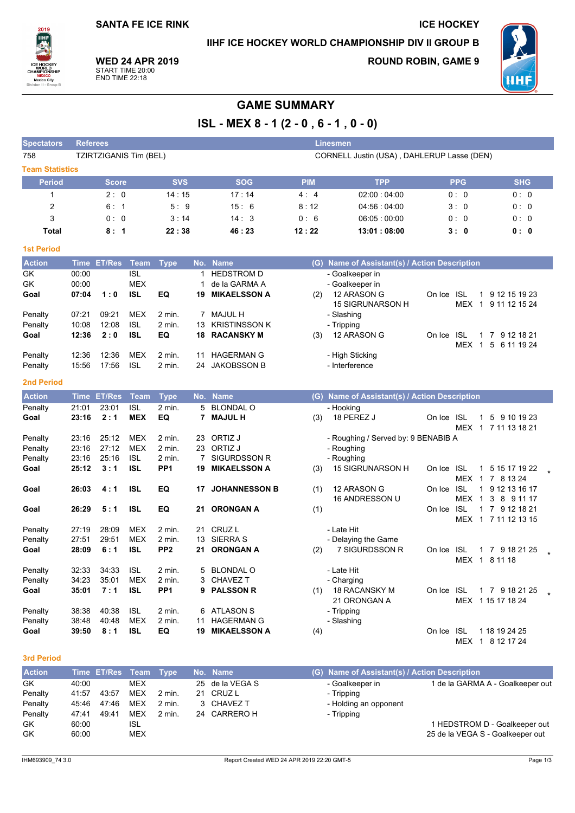**SANTA FE ICE RINK** 

IIHF ICE HOCKEY WORLD CHAMPIONSHIP DIV II GROUP B

**ICE HOCKEY** 

2019 WORI<br>CHAMPIO **MEXICO**<br>Mexico City

*<u>Antonio Bata</u>* 

**WED 24 APR 2019** START TIME 20:00<br>END TIME 22:18

**ROUND ROBIN, GAME 9** 



# **GAME SUMMARY**

ISL - MEX 8 - 1 (2 - 0, 6 - 1, 0 - 0)

| opectators             | <b>Referees</b> |                        |             |                 |                                            |                      |            | <b>Linesmen</b>                               |            |                    |                                                    |  |
|------------------------|-----------------|------------------------|-------------|-----------------|--------------------------------------------|----------------------|------------|-----------------------------------------------|------------|--------------------|----------------------------------------------------|--|
| 758                    |                 | TZIRTZIGANIS Tim (BEL) |             |                 | CORNELL Justin (USA), DAHLERUP Lasse (DEN) |                      |            |                                               |            |                    |                                                    |  |
| <b>Team Statistics</b> |                 |                        |             |                 |                                            |                      |            |                                               |            |                    |                                                    |  |
| <b>Period</b>          |                 | <b>Score</b>           |             | <b>SVS</b>      |                                            | <b>SOG</b>           | <b>PIM</b> | <b>TPP</b>                                    |            | <b>PPG</b>         | <b>SHG</b>                                         |  |
| $\mathbf{1}$           |                 | 2:0                    |             | 14:15           |                                            | 17:14                | 4:4        | 02:00:04:00                                   |            | 0:0                | 0:0                                                |  |
| $\overline{c}$         |                 | 6:1                    |             | 5:9             |                                            | 15:6                 | 8:12       | 04:56:04:00                                   |            | 3:0                | 0: 0                                               |  |
| 3                      |                 | 0:0                    |             | 3:14            |                                            | 14:3                 | 0:6        | 06:05:00:00                                   |            | 0:0                | 0: 0                                               |  |
| <b>Total</b>           |                 | 8:1                    |             | 22:38           |                                            | 46:23                | 12:22      | 13:01:08:00                                   |            | 3:0                | 0: 0                                               |  |
| <b>1st Period</b>      |                 |                        |             |                 |                                            |                      |            |                                               |            |                    |                                                    |  |
| <b>Action</b>          | <b>Time</b>     | <b>ET/Res</b>          | <b>Team</b> | <b>Type</b>     | No.                                        | <b>Name</b>          |            | (G) Name of Assistant(s) / Action Description |            |                    |                                                    |  |
| GK                     | 00:00           |                        | <b>ISL</b>  |                 | 1                                          | <b>HEDSTROM D</b>    |            | - Goalkeeper in                               |            |                    |                                                    |  |
| GK                     | 00:00           |                        | <b>MEX</b>  |                 | 1                                          | de la GARMA A        |            | - Goalkeeper in                               |            |                    |                                                    |  |
| Goal                   | 07:04           | 1:0                    | <b>ISL</b>  | EQ              | 19                                         | <b>MIKAELSSON A</b>  | (2)        | 12 ARASON G<br>15 SIGRUNARSON H               | On Ice ISL | <b>MEX</b>         | 1 9 12 15 19 23<br>$\overline{1}$<br>9 11 12 15 24 |  |
| Penalty                | 07:21           | 09:21                  | <b>MEX</b>  | $2$ min.        | 7                                          | <b>MAJUL H</b>       |            | - Slashing                                    |            |                    |                                                    |  |
| Penalty                | 10:08           | 12:08                  | <b>ISL</b>  | 2 min.          | 13                                         | <b>KRISTINSSON K</b> |            | - Tripping                                    |            |                    |                                                    |  |
| Goal                   | 12:36           | 2:0                    | <b>ISL</b>  | EQ              |                                            | <b>18 RACANSKY M</b> | (3)        | 12 ARASON G                                   | On Ice     | -ISL<br><b>MEX</b> | 1 7 9 12 18 21<br>$\overline{1}$<br>5 6 11 19 24   |  |
| Penalty                | 12:36           | 12:36                  | <b>MEX</b>  | $2$ min.        | 11                                         | <b>HAGERMAN G</b>    |            | - High Sticking                               |            |                    |                                                    |  |
| Penalty                | 15:56           | 17:56                  | <b>ISL</b>  | 2 min.          | 24                                         | <b>JAKOBSSON B</b>   |            | - Interference                                |            |                    |                                                    |  |
| <b>2nd Period</b>      |                 |                        |             |                 |                                            |                      |            |                                               |            |                    |                                                    |  |
| <b>Action</b>          | <b>Time</b>     | <b>ET/Res</b>          | <b>Team</b> | <b>Type</b>     |                                            | No. Name             |            | (G) Name of Assistant(s) / Action Description |            |                    |                                                    |  |
| Penalty                | 21:01           | 23:01                  | <b>ISL</b>  | $2$ min.        |                                            | 5 BLONDAL O          |            | - Hooking                                     |            |                    |                                                    |  |
| Goal                   | 23:16           | 2:1                    | <b>MEX</b>  | EQ              | 7                                          | <b>MAJULH</b>        | (3)        | 18 PEREZ J                                    | On Ice ISL |                    | 5 9 10 19 23<br>$\mathbf{1}$                       |  |
|                        |                 |                        |             |                 |                                            |                      |            |                                               |            |                    | MEX 1 7 11 13 18 21                                |  |
| Penalty                | 23:16           | 25:12                  | <b>MEX</b>  | 2 min.          | 23                                         | ORTIZ J              |            | - Roughing / Served by: 9 BENABIB A           |            |                    |                                                    |  |
| Penalty                | 23:16           | 27:12                  | <b>MEX</b>  | $2$ min.        |                                            | 23 ORTIZ J           |            | - Roughing                                    |            |                    |                                                    |  |
| Penalty                | 23:16           | 25:16                  | <b>ISL</b>  | 2 min.          | 7                                          | <b>SIGURDSSON R</b>  |            | - Roughing                                    |            |                    |                                                    |  |
| Goal                   | 25:12           | 3:1                    | <b>ISL</b>  | PP <sub>1</sub> | 19                                         | <b>MIKAELSSON A</b>  | (3)        | 15 SIGRUNARSON H                              | On Ice ISL | MEX 1              | 1 5 15 17 19 22<br>7 8 13 24                       |  |
| Goal                   | 26:03           | 4:1                    | <b>ISL</b>  | EQ              | 17                                         | <b>JOHANNESSON B</b> | (1)        | 12 ARASON G                                   | On Ice ISL |                    | 1 9 12 13 16 17                                    |  |
|                        |                 |                        |             |                 |                                            |                      |            | 16 ANDRESSON U                                |            | MEX 1              | 3 8 9 11 17                                        |  |
| Goal                   | 26:29           | 5:1                    | <b>ISL</b>  | EQ              | 21                                         | <b>ORONGAN A</b>     | (1)        |                                               | On Ice ISL |                    | 1 7 9 12 18 21                                     |  |
|                        |                 |                        |             |                 |                                            |                      |            |                                               |            |                    | MEX 1 7 11 12 13 15                                |  |
| Penalty                | 27:19           | 28:09                  | <b>MEX</b>  | $2$ min.        | 21                                         | CRUZ <sub>L</sub>    |            | - Late Hit                                    |            |                    |                                                    |  |
| Penalty                | 27:51           | 29:51                  | <b>MEX</b>  | 2 min.          | 13                                         | <b>SIERRA S</b>      |            | - Delaying the Game                           |            |                    |                                                    |  |
| Goal                   | 28:09           | 6:1                    | <b>ISL</b>  | PP <sub>2</sub> | 21                                         | <b>ORONGAN A</b>     | (2)        | 7 SIGURDSSON R                                | On Ice ISL |                    | 1 7 9 18 21 25                                     |  |
|                        |                 |                        |             |                 |                                            |                      |            |                                               |            |                    | MEX 1 8 11 18                                      |  |
| Penalty                | 32:33           | 34:33                  | <b>ISL</b>  | $2$ min.        | 5                                          | <b>BLONDAL O</b>     |            | - Late Hit                                    |            |                    |                                                    |  |
| Penalty                | 34:23           | 35:01                  | <b>MEX</b>  | $2$ min.        | 3                                          | <b>CHAVEZ T</b>      |            | - Charging                                    |            |                    |                                                    |  |
| Goal                   | 35:01           | 7:1                    | <b>ISL</b>  | PP <sub>1</sub> | 9                                          | <b>PALSSON R</b>     | (1)        | 18 RACANSKY M<br>21 ORONGAN A                 | On Ice     | ISL                | 1 7 9 18 21 25<br>MEX 115 17 18 24                 |  |
| Penalty                | 38:38           | 40:38                  | <b>ISL</b>  | 2 min.          | 6                                          | <b>ATLASON S</b>     |            | - Tripping                                    |            |                    |                                                    |  |
| Penalty                | 38:48           | 40:48                  | <b>MEX</b>  | $2$ min.        | 11                                         | <b>HAGERMAN G</b>    |            | - Slashing                                    |            |                    |                                                    |  |
| Goal                   | 39:50           | 8:1                    | <b>ISL</b>  | EQ              | 19                                         | <b>MIKAELSSON A</b>  | (4)        |                                               | On Ice ISL |                    | 1 18 19 24 25<br>MEX 1 8 12 17 24                  |  |

#### 3rd Period

| <b>Action</b> |       | Time ET/Res Team Type |            |        | No. Name        | (G) Name of Assistant(s) / Action Description |                                  |
|---------------|-------|-----------------------|------------|--------|-----------------|-----------------------------------------------|----------------------------------|
| GK            | 40:00 |                       | <b>MEX</b> |        | 25 de la VEGA S | - Goalkeeper in                               | 1 de la GARMA A - Goalkeeper out |
| Penalty       | 41:57 | 43:57                 | <b>MEX</b> | 2 min. | 21 CRUZ L       | - Tripping                                    |                                  |
| Penalty       | 45:46 | 47.46                 | MEX        | 2 min. | 3 CHAVEZ T      | - Holding an opponent                         |                                  |
| Penalty       | 47:41 | 49.41                 | <b>MEX</b> | 2 min. | 24 CARRERO H    | - Tripping                                    |                                  |
| GK            | 60:00 |                       | ISL        |        |                 |                                               | 1 HEDSTROM D - Goalkeeper out    |
| GK            | 60:00 |                       | <b>MEX</b> |        |                 |                                               | 25 de la VEGA S - Goalkeeper out |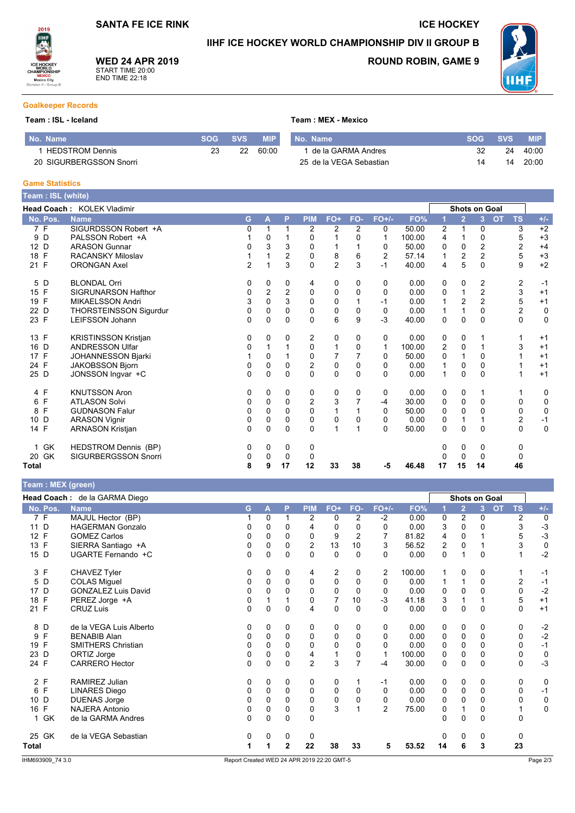### IIHF ICE HOCKEY WORLD CHAMPIONSHIP DIV II GROUP B

Team: MEX - Mexico



**WED 24 APR 2019** START TIME 20:00<br>END TIME 22:18

## **ROUND ROBIN, GAME 9**

**ICE HOCKEY** 



### **Goalkeeper Records**

### Team : ISL - Iceland

| No. Name                | SOG SVS | <b>MIP</b> | No. Name                |    | SOG SVS | <b>MIP</b> |
|-------------------------|---------|------------|-------------------------|----|---------|------------|
| <b>HEDSTROM Dennis</b>  | 22      | 60.00      | 1 de la GARMA Andres    |    | 24      | 40:00      |
| 20 SIGURBERGSSON Snorri |         |            | 25 de la VEGA Sebastian | 14 | 14      | 20:00      |

#### **Game Statistics**

| Team: ISL (white)  |                                   |                |   |                |                  |                |          |                |        |                |                      |                |           |                         |             |
|--------------------|-----------------------------------|----------------|---|----------------|------------------|----------------|----------|----------------|--------|----------------|----------------------|----------------|-----------|-------------------------|-------------|
|                    | <b>Head Coach: KOLEK Vladimir</b> |                |   |                |                  |                |          |                |        |                | <b>Shots on Goal</b> |                |           |                         |             |
| No. Pos.           | <b>Name</b>                       | G              | A | P              | <b>PIM</b>       | FO+            | FO-      | $FO+/-$        | FO%    |                | $\overline{2}$       | 3 <sup>1</sup> | <b>OT</b> | <b>TS</b>               | $+/-$       |
| 7 F                | SIGURDSSON Robert +A              | 0              | 1 |                | 2                | 2              | 2        | 0              | 50.00  | $\overline{2}$ | 1                    | 0              |           | 3                       | $+2$        |
| D<br>9             | PALSSON Robert +A                 |                | 0 |                | 0                |                | $\Omega$ | 1              | 100.00 | 4              |                      | 0              |           | 5                       | $+3$        |
| 12 D               | <b>ARASON Gunnar</b>              | 0              | 3 | 3              | 0                |                |          | 0              | 50.00  | 0              | $\Omega$             | $\overline{2}$ |           | 2                       | $+4$        |
| E<br>18            | <b>RACANSKY Miloslav</b>          |                |   | 2              | $\mathbf 0$      | 8              | 6        | $\overline{2}$ | 57.14  |                | $\overline{2}$       | $\overline{2}$ |           | 5                       | $+3$        |
| 21 F               | <b>ORONGAN Axel</b>               | $\overline{2}$ | 1 | 3              | $\Omega$         | $\overline{2}$ | 3        | $-1$           | 40.00  | 4              | 5                    | $\Omega$       |           | 9                       | $+2$        |
| D<br>5             | <b>BLONDAL Orri</b>               | 0              | 0 | 0              | 4                | 0              | 0        | 0              | 0.00   | 0              | 0                    | 2              |           | 2                       | $-1$        |
| F<br>15            | <b>SIGRUNARSON Hafthor</b>        | 0              | 2 | $\overline{2}$ | 0                | 0              | $\Omega$ | 0              | 0.00   | 0              |                      | $\overline{2}$ |           | 3                       | $+1$        |
| F<br>19            | <b>MIKAELSSON Andri</b>           | 3              | 0 | 3              | $\Omega$         | $\Omega$       |          | -1             | 0.00   |                | $\overline{2}$       | $\overline{2}$ |           | 5                       | $+1$        |
| D<br>22            | <b>THORSTEINSSON Sigurdur</b>     | 0              | 0 | $\Omega$       | 0                | $\mathbf 0$    | $\Omega$ | 0              | 0.00   |                | 1                    | $\Omega$       |           | $\boldsymbol{2}$        | $\pmb{0}$   |
| 23 F               | <b>LEIFSSON Johann</b>            | 0              | 0 | $\Omega$       | $\Omega$         | 6              | 9        | $-3$           | 40.00  | $\Omega$       | $\mathbf 0$          | $\Omega$       |           | $\mathbf 0$             | $\mathbf 0$ |
| $\mathsf{F}$<br>13 | <b>KRISTINSSON Kristjan</b>       | 0              | 0 | 0              | 2                | 0              | 0        | 0              | 0.00   | 0              | 0                    |                |           |                         | $+1$        |
| 16<br>D            | <b>ANDRESSON Ulfar</b>            | 0              |   |                | 0                | 1              | $\Omega$ | 1              | 100.00 | 2              | 0                    |                |           | 3                       | $+1$        |
| F<br>17            | <b>JOHANNESSON Bjarki</b>         |                | 0 |                | $\mathbf 0$      | 7              |          | 0              | 50.00  | 0              | $\mathbf 1$          | $\Omega$       |           |                         | $+1$        |
| $\mathsf{F}$<br>24 | <b>JAKOBSSON Bjorn</b>            | 0              | 0 | 0              | $\boldsymbol{2}$ | 0              | $\Omega$ | 0              | 0.00   |                | 0                    | $\Omega$       |           |                         | $+1$        |
| 25 D               | JONSSON Ingvar +C                 | $\Omega$       | 0 | $\Omega$       | $\Omega$         | $\Omega$       | $\Omega$ | $\Omega$       | 0.00   | 1              | $\Omega$             | $\Omega$       |           |                         | $+1$        |
| 4 F                | <b>KNUTSSON Aron</b>              | 0              | 0 | 0              | 0                | 0              | 0        | 0              | 0.00   | 0              | 0                    |                |           |                         | 0           |
| F<br>6             | <b>ATLASON Solvi</b>              | 0              | 0 | 0              | 2                | 3              |          | -4             | 30.00  | 0              | 0                    | 0              |           | 0                       | $\mathbf 0$ |
| F<br>8             | <b>GUDNASON Falur</b>             | 0              | 0 | $\Omega$       | $\Omega$         | 1              |          | 0              | 50.00  | $\Omega$       | $\Omega$             | $\Omega$       |           | $\Omega$                | $\mathbf 0$ |
| D<br>10            | <b>ARASON Vignir</b>              | 0              | 0 | 0              | $\mathbf 0$      | 0              | 0        | 0              | 0.00   | 0              | 1                    |                |           | $\overline{\mathbf{c}}$ | $-1$        |
| 14 F               | <b>ARNASON Kristjan</b>           | 0              | 0 | $\Omega$       | $\Omega$         | 1              |          | $\Omega$       | 50.00  | $\Omega$       | $\mathbf{0}$         | $\Omega$       |           | $\mathbf{0}$            | $\mathbf 0$ |
| GK                 | <b>HEDSTROM Dennis (BP)</b>       | 0              | 0 | 0              | 0                |                |          |                |        | 0              | 0                    | 0              |           | 0                       |             |
| GK<br>20           | <b>SIGURBERGSSON Snorri</b>       | 0              | 0 | 0              | 0                |                |          |                |        | O              | 0                    | $\Omega$       |           | 0                       |             |
| Total              |                                   | 8              | 9 | 17             | 12               | 33             | 38       | -5             | 46.48  | 17             | 15                   | 14             |           | 46                      |             |

| Team : MEX (green) |                               |          |              |          |                |                |                |                |        |              |                      |          |           |                |             |
|--------------------|-------------------------------|----------|--------------|----------|----------------|----------------|----------------|----------------|--------|--------------|----------------------|----------|-----------|----------------|-------------|
|                    | Head Coach: de la GARMA Diego |          |              |          |                |                |                |                |        |              | <b>Shots on Goal</b> |          |           |                |             |
| No. Pos.           | <b>Name</b>                   | G        | $\mathbf{A}$ | P        | <b>PIM</b>     | FO+            | FO-            | $FO+/-$        | FO%    |              | $\overline{2}$       | 3.       | <b>OT</b> | <b>TS</b>      | $+/-$       |
| 7 F                | MAJUL Hector (BP)             |          | $\Omega$     |          | 2              | 0              | $\overline{2}$ | $-2$           | 0.00   | 0            | 2                    | $\Omega$ |           | $\overline{2}$ | $\mathbf 0$ |
| 11 D               | <b>HAGERMAN Gonzalo</b>       | 0        | 0            | 0        | 4              | 0              | 0              | $\Omega$       | 0.00   | 3            | $\Omega$             | $\Omega$ |           | 3              | $-3$        |
| 12 F               | <b>GOMEZ Carlos</b>           | 0        | $\Omega$     | $\Omega$ | $\mathbf 0$    | 9              | 2              |                | 81.82  | 4            | $\mathbf 0$          |          |           | 5              | $-3$        |
| 13 F               | SIERRA Santiago +A            | 0        | $\Omega$     | $\Omega$ | $\overline{2}$ | 13             | 10             | 3              | 56.52  | 2            | $\Omega$             | 1        |           | 3              | $\pmb{0}$   |
| 15 D               | UGARTE Fernando +C            | 0        | $\mathbf 0$  | $\Omega$ | 0              | 0              | $\Omega$       | $\Omega$       | 0.00   | $\mathbf 0$  |                      | 0        |           | 1              | $-2$        |
| 3 F                | CHAVEZ Tyler                  | 0        | 0            | 0        | 4              | 2              | 0              | 2              | 100.00 | $\mathbf 1$  | 0                    | 0        |           | 1              | $-1$        |
| 5<br>D             | <b>COLAS Miguel</b>           | 0        | $\Omega$     | $\Omega$ | $\Omega$       | 0              | $\Omega$       | $\Omega$       | 0.00   | $\mathbf{1}$ | 1                    | $\Omega$ |           | 2              | $-1$        |
| 17 D               | <b>GONZALEZ Luis David</b>    | 0        | $\Omega$     | $\Omega$ | $\Omega$       | $\mathbf 0$    | $\Omega$       | 0              | 0.00   | 0            | $\Omega$             | $\Omega$ |           | 0              | $-2$        |
| 18 F               | PEREZ Jorge +A                | 0        |              |          | $\mathbf 0$    | $\overline{7}$ | 10             | $-3$           | 41.18  | 3            |                      |          |           | 5              | $+1$        |
| 21 F               | <b>CRUZ Luis</b>              | $\Omega$ | $\mathbf 0$  | $\Omega$ | 4              | 0              | $\Omega$       | $\Omega$       | 0.00   | 0            | $\Omega$             | $\Omega$ |           | 0              | $+1$        |
| 8 D                | de la VEGA Luis Alberto       | 0        | 0            | 0        | 0              | 0              | 0              | 0              | 0.00   | 0            | 0                    | 0        |           | 0              | $-2$        |
| 9<br>$\mathsf{F}$  | <b>BENABIB Alan</b>           | 0        | 0            | 0        | $\mathbf 0$    | 0              | 0              | 0              | 0.00   | 0            | 0                    | $\Omega$ |           | 0              | $-2$        |
| 19 F               | <b>SMITHERS Christian</b>     | 0        | $\Omega$     | $\Omega$ | $\Omega$       | 0              | $\Omega$       | $\Omega$       | 0.00   | 0            | $\mathbf{0}$         | $\Omega$ |           | 0              | $-1$        |
| 23 D               | ORTIZ Jorge                   | 0        | $\Omega$     | $\Omega$ | 4              | $\mathbf{1}$   | 0              | $\mathbf{1}$   | 100.00 | 0            | $\Omega$             | $\Omega$ |           | 0              | $\mathbf 0$ |
| 24 F               | <b>CARRERO Hector</b>         | 0        | $\Omega$     | $\Omega$ | $\overline{2}$ | 3              | $\overline{7}$ | -4             | 30.00  | $\Omega$     | $\Omega$             | $\Omega$ |           | $\Omega$       | $-3$        |
| 2 F                | <b>RAMIREZ Julian</b>         | 0        | 0            | 0        | 0              | 0              | 1              | $-1$           | 0.00   | 0            | 0                    | 0        |           | 0              | 0           |
| 6 F                | <b>LINARES Diego</b>          | 0        | 0            | 0        | $\mathbf 0$    | 0              | 0              | 0              | 0.00   | 0            | 0                    | $\Omega$ |           | 0              | $-1$        |
| 10 D               | <b>DUENAS Jorge</b>           | 0        | $\mathbf 0$  | $\Omega$ | $\Omega$       | 0              | 0              | $\mathbf 0$    | 0.00   | 0            | $\mathbf 0$          | $\Omega$ |           | 0              | 0           |
| 16 F               | <b>NAJERA Antonio</b>         | $\Omega$ | $\mathbf 0$  | 0        | $\mathbf 0$    | 3              | $\overline{1}$ | $\overline{2}$ | 75.00  | 0            |                      | $\Omega$ |           | 1              | $\mathbf 0$ |
| 1 GK               | de la GARMA Andres            | $\Omega$ | $\Omega$     | $\Omega$ | $\Omega$       |                |                |                |        | $\Omega$     | $\Omega$             | $\Omega$ |           | 0              |             |
| 25 GK              | de la VEGA Sebastian          | 0        | 0            | 0        | 0              |                |                |                |        | 0            | 0                    | 0        |           | 0              |             |
| <b>Total</b>       |                               |          |              | 2        | 22             | 38             | 33             | 5              | 53.52  | 14           | 6                    | 3        |           | 23             |             |